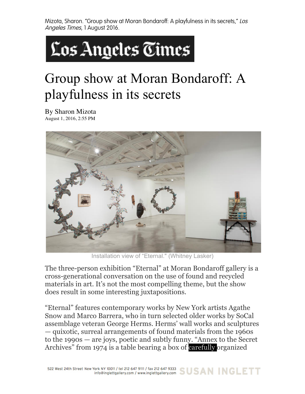Mizota, Sharon. "Group show at Moran Bondaroff: A playfulness in its secrets," Los Angeles Times, 1 August 2016.



## Group show at Moran Bondaroff: A playfulness in its secrets

By Sharon Mizota August 1, 2016, 2:55 PM



Installation view of "Eternal." (Whitney Lasker)

The three-person exhibition "Eternal" at Moran Bondaroff gallery is a cross-generational conversation on the use of found and recycled materials in art. It's not the most compelling theme, but the show does result in some interesting juxtapositions.

"Eternal" features contemporary works by New York artists Agathe Snow and Marco Barrera, who in turn selected older works by SoCal assemblage veteran George Herms. Herms' wall works and sculptures — quixotic, surreal arrangements of found materials from the 1960s to the 1990s — are joys, poetic and subtly funny. "Annex to the Secret Archives" from 1974 is a table bearing a box of carefully organized